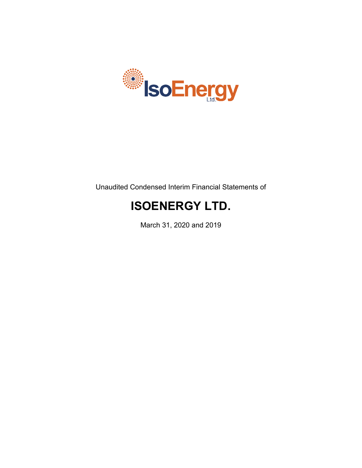

Unaudited Condensed Interim Financial Statements of

# **ISOENERGY LTD.**

March 31, 2020 and 2019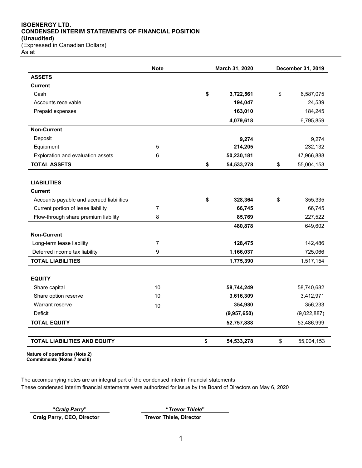#### **ISOENERGY LTD. CONDENSED INTERIM STATEMENTS OF FINANCIAL POSITION (Unaudited)** (Expressed in Canadian Dollars)

As at

|                                          | <b>Note</b>    | March 31, 2020   |    | December 31, 2019 |
|------------------------------------------|----------------|------------------|----|-------------------|
| <b>ASSETS</b>                            |                |                  |    |                   |
| <b>Current</b>                           |                |                  |    |                   |
| Cash                                     |                | \$<br>3,722,561  | \$ | 6,587,075         |
| Accounts receivable                      |                | 194,047          |    | 24,539            |
| Prepaid expenses                         |                | 163,010          |    | 184,245           |
|                                          |                | 4,079,618        |    | 6,795,859         |
| <b>Non-Current</b>                       |                |                  |    |                   |
| Deposit                                  |                | 9,274            |    | 9,274             |
| Equipment                                | 5              | 214,205          |    | 232,132           |
| Exploration and evaluation assets        | 6              | 50,230,181       |    | 47,966,888        |
| <b>TOTAL ASSETS</b>                      |                | \$<br>54,533,278 | \$ | 55,004,153        |
|                                          |                |                  |    |                   |
| <b>LIABILITIES</b>                       |                |                  |    |                   |
| <b>Current</b>                           |                |                  |    |                   |
| Accounts payable and accrued liabilities |                | \$<br>328,364    | \$ | 355,335           |
| Current portion of lease liability       | $\overline{7}$ | 66,745           |    | 66,745            |
| Flow-through share premium liability     | 8              | 85,769           |    | 227,522           |
|                                          |                | 480,878          |    | 649,602           |
| <b>Non-Current</b>                       |                |                  |    |                   |
| Long-term lease liability                | $\overline{7}$ | 128,475          |    | 142,486           |
| Deferred income tax liability            | 9              | 1,166,037        |    | 725,066           |
| <b>TOTAL LIABILITIES</b>                 |                | 1,775,390        |    | 1,517,154         |
|                                          |                |                  |    |                   |
| <b>EQUITY</b>                            |                |                  |    |                   |
| Share capital                            | 10             | 58,744,249       |    | 58,740,682        |
| Share option reserve                     | 10             | 3,616,309        |    | 3,412,971         |
| Warrant reserve                          | 10             | 354,980          |    | 356,233           |
| <b>Deficit</b>                           |                | (9,957,650)      |    | (9,022,887)       |
| <b>TOTAL EQUITY</b>                      |                | 52,757,888       |    | 53,486,999        |
| <b>TOTAL LIABILITIES AND EQUITY</b>      |                | \$<br>54,533,278 | \$ | 55,004,153        |

**Nature of operations (Note 2) Commitments (Notes 7 and 8)**

The accompanying notes are an integral part of the condensed interim financial statements These condensed interim financial statements were authorized for issue by the Board of Directors on May 6, 2020

**Craig Parry, CEO, Director Trevor Thiele, Director**

**"***Craig Parry***" "***Trevor Thiele***"**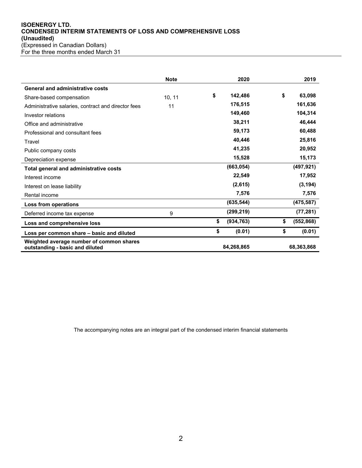#### **ISOENERGY LTD. CONDENSED INTERIM STATEMENTS OF LOSS AND COMPREHENSIVE LOSS (Unaudited)** (Expressed in Canadian Dollars) For the three months ended March 31

|                                                                             | <b>Note</b> | 2020             | 2019             |
|-----------------------------------------------------------------------------|-------------|------------------|------------------|
| <b>General and administrative costs</b>                                     |             |                  |                  |
| Share-based compensation                                                    | 10, 11      | \$<br>142,486    | \$<br>63,098     |
| Administrative salaries, contract and director fees                         | 11          | 176,515          | 161,636          |
| Investor relations                                                          |             | 149,460          | 104,314          |
| Office and administrative                                                   |             | 38,211           | 46,444           |
| Professional and consultant fees                                            |             | 59,173           | 60,488           |
| Travel                                                                      |             | 40,446           | 25,816           |
| Public company costs                                                        |             | 41,235           | 20,952           |
| Depreciation expense                                                        |             | 15,528           | 15,173           |
| Total general and administrative costs                                      |             | (663, 054)       | (497, 921)       |
| Interest income                                                             |             | 22,549           | 17,952           |
| Interest on lease liability                                                 |             | (2,615)          | (3, 194)         |
| Rental income                                                               |             | 7,576            | 7,576            |
| Loss from operations                                                        |             | (635, 544)       | (475, 587)       |
| Deferred income tax expense                                                 | 9           | (299, 219)       | (77, 281)        |
| Loss and comprehensive loss                                                 |             | \$<br>(934, 763) | \$<br>(552, 868) |
| Loss per common share – basic and diluted                                   |             | \$<br>(0.01)     | \$<br>(0.01)     |
| Weighted average number of common shares<br>outstanding - basic and diluted |             | 84,268,865       | 68,363,868       |

The accompanying notes are an integral part of the condensed interim financial statements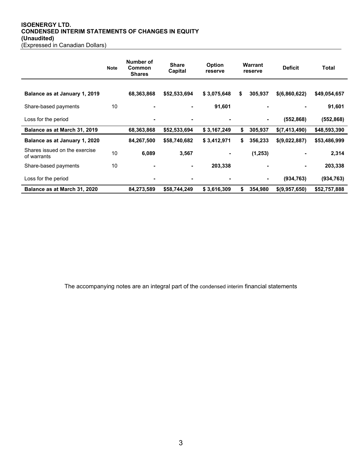#### **ISOENERGY LTD. CONDENSED INTERIM STATEMENTS OF CHANGES IN EQUITY (Unaudited)** (Expressed in Canadian Dollars)

|                                              | <b>Note</b> | Number of<br><b>Common</b><br><b>Shares</b> | <b>Share</b><br>Capital | <b>Option</b><br>reserve | Warrant<br>reserve |          | <b>Deficit</b> | Total        |
|----------------------------------------------|-------------|---------------------------------------------|-------------------------|--------------------------|--------------------|----------|----------------|--------------|
| Balance as at January 1, 2019                |             | 68,363,868                                  | \$52,533,694            | \$3,075,648              | \$                 | 305,937  | \$(6,860,622)  | \$49,054,657 |
| Share-based payments                         | 10          | $\blacksquare$                              |                         | 91,601                   |                    | ٠        |                | 91,601       |
| Loss for the period                          |             | $\blacksquare$                              | $\blacksquare$          |                          |                    | ۰        | (552, 868)     | (552, 868)   |
| Balance as at March 31, 2019                 |             | 68,363,868                                  | \$52,533,694            | \$3,167,249              | \$                 | 305,937  | \$(7,413,490)  | \$48,593,390 |
| Balance as at January 1, 2020                |             | 84,267,500                                  | \$58,740,682            | \$3,412,971              | \$                 | 356,233  | \$(9,022,887)  | \$53,486,999 |
| Shares issued on the exercise<br>of warrants | 10          | 6,089                                       | 3,567                   |                          |                    | (1, 253) |                | 2,314        |
| Share-based payments                         | 10          |                                             |                         | 203,338                  |                    |          |                | 203,338      |
| Loss for the period                          |             | $\blacksquare$                              |                         |                          |                    | ۰        | (934, 763)     | (934, 763)   |
| Balance as at March 31, 2020                 |             | 84,273,589                                  | \$58,744,249            | \$3,616,309              | \$                 | 354,980  | \$(9,957,650)  | \$52,757,888 |

The accompanying notes are an integral part of the condensed interim financial statements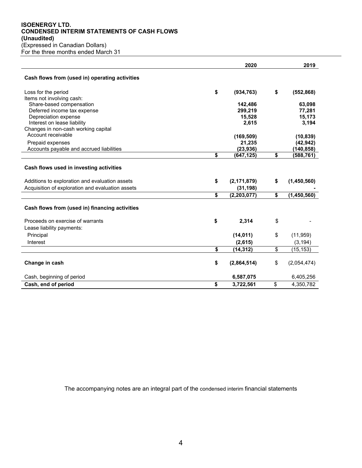#### **ISOENERGY LTD. CONDENSED INTERIM STATEMENTS OF CASH FLOWS (Unaudited)** (Expressed in Canadian Dollars)

For the three months ended March 31

|                                                                                           | 2020                | 2019                |
|-------------------------------------------------------------------------------------------|---------------------|---------------------|
| Cash flows from (used in) operating activities                                            |                     |                     |
| Loss for the period                                                                       | \$<br>(934, 763)    | \$<br>(552, 868)    |
| Items not involving cash:                                                                 |                     |                     |
| Share-based compensation                                                                  | 142,486             | 63,098              |
| Deferred income tax expense                                                               | 299,219             | 77,281              |
| Depreciation expense                                                                      | 15,528              | 15,173              |
| Interest on lease liability                                                               | 2,615               | 3,194               |
| Changes in non-cash working capital                                                       |                     |                     |
| Account receivable                                                                        | (169, 509)          | (10, 839)           |
| Prepaid expenses                                                                          | 21,235              | (42, 942)           |
| Accounts payable and accrued liabilities                                                  | (23, 936)           | (140, 858)          |
|                                                                                           | \$<br>(647,125)     | \$<br>(588,761)     |
| Cash flows used in investing activities<br>Additions to exploration and evaluation assets | \$<br>(2, 171, 879) | \$<br>(1,450,560)   |
| Acquisition of exploration and evaluation assets                                          |                     |                     |
|                                                                                           | (31, 198)           |                     |
|                                                                                           | \$<br>(2, 203, 077) | \$<br>(1, 450, 560) |
| Cash flows from (used in) financing activities                                            |                     |                     |
| Proceeds on exercise of warrants                                                          | \$<br>2,314         | \$                  |
| Lease liability payments:                                                                 |                     |                     |
| Principal                                                                                 | (14, 011)           | \$<br>(11, 959)     |
| Interest                                                                                  | (2,615)             | (3, 194)            |
|                                                                                           | \$<br>(14, 312)     | \$<br>(15, 153)     |
| Change in cash                                                                            | \$<br>(2,864,514)   | \$<br>(2,054,474)   |
| Cash, beginning of period                                                                 | 6,587,075           | 6,405,256           |
| Cash, end of period                                                                       | \$<br>3,722,561     | \$<br>4,350,782     |

The accompanying notes are an integral part of the condensed interim financial statements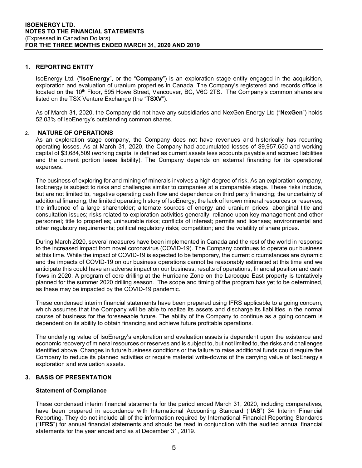## **1. REPORTING ENTITY**

IsoEnergy Ltd. ("**IsoEnergy**", or the "**Company**") is an exploration stage entity engaged in the acquisition, exploration and evaluation of uranium properties in Canada. The Company's registered and records office is located on the 10<sup>th</sup> Floor, 595 Howe Street, Vancouver, BC, V6C 2TS. The Company's common shares are listed on the TSX Venture Exchange (the "**TSXV**").

As of March 31, 2020, the Company did not have any subsidiaries and NexGen Energy Ltd ("**NexGen**") holds 52.03% of IsoEnergy's outstanding common shares.

## 2. **NATURE OF OPERATIONS**

As an exploration stage company, the Company does not have revenues and historically has recurring operating losses. As at March 31, 2020, the Company had accumulated losses of \$9,957,650 and working capital of \$3,684,509 (working capital is defined as current assets less accounts payable and accrued liabilities and the current portion lease liability). The Company depends on external financing for its operational expenses.

The business of exploring for and mining of minerals involves a high degree of risk. As an exploration company, IsoEnergy is subject to risks and challenges similar to companies at a comparable stage. These risks include, but are not limited to, negative operating cash flow and dependence on third party financing; the uncertainty of additional financing; the limited operating history of IsoEnergy; the lack of known mineral resources or reserves; the influence of a large shareholder; alternate sources of energy and uranium prices; aboriginal title and consultation issues; risks related to exploration activities generally; reliance upon key management and other personnel; title to properties; uninsurable risks; conflicts of interest; permits and licenses; environmental and other regulatory requirements; political regulatory risks; competition; and the volatility of share prices.

During March 2020, several measures have been implemented in Canada and the rest of the world in response to the increased impact from novel coronavirus (COVID-19). The Company continues to operate our business at this time. While the impact of COVID-19 is expected to be temporary, the current circumstances are dynamic and the impacts of COVID-19 on our business operations cannot be reasonably estimated at this time and we anticipate this could have an adverse impact on our business, results of operations, financial position and cash flows in 2020. A program of core drilling at the Hurricane Zone on the Larocque East property is tentatively planned for the summer 2020 drilling season. The scope and timing of the program has yet to be determined, as these may be impacted by the COVID-19 pandemic.

These condensed interim financial statements have been prepared using IFRS applicable to a going concern, which assumes that the Company will be able to realize its assets and discharge its liabilities in the normal course of business for the foreseeable future. The ability of the Company to continue as a going concern is dependent on its ability to obtain financing and achieve future profitable operations.

The underlying value of IsoEnergy's exploration and evaluation assets is dependent upon the existence and economic recovery of mineral resources or reserves and is subject to, but not limited to, the risks and challenges identified above. Changes in future business conditions or the failure to raise additional funds could require the Company to reduce its planned activities or require material write-downs of the carrying value of IsoEnergy's exploration and evaluation assets.

## **3. BASIS OF PRESENTATION**

#### **Statement of Compliance**

These condensed interim financial statements for the period ended March 31, 2020, including comparatives, have been prepared in accordance with International Accounting Standard ("**IAS**") 34 Interim Financial Reporting. They do not include all of the information required by International Financial Reporting Standards ("**IFRS**") for annual financial statements and should be read in conjunction with the audited annual financial statements for the year ended and as at December 31, 2019.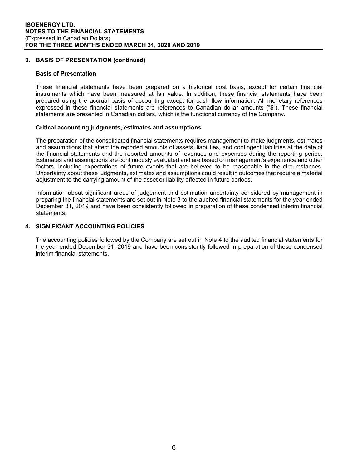## **3. BASIS OF PRESENTATION (continued)**

#### **Basis of Presentation**

These financial statements have been prepared on a historical cost basis, except for certain financial instruments which have been measured at fair value. In addition, these financial statements have been prepared using the accrual basis of accounting except for cash flow information. All monetary references expressed in these financial statements are references to Canadian dollar amounts ("\$"). These financial statements are presented in Canadian dollars, which is the functional currency of the Company.

#### **Critical accounting judgments, estimates and assumptions**

The preparation of the consolidated financial statements requires management to make judgments, estimates and assumptions that affect the reported amounts of assets, liabilities, and contingent liabilities at the date of the financial statements and the reported amounts of revenues and expenses during the reporting period. Estimates and assumptions are continuously evaluated and are based on management's experience and other factors, including expectations of future events that are believed to be reasonable in the circumstances. Uncertainty about these judgments, estimates and assumptions could result in outcomes that require a material adjustment to the carrying amount of the asset or liability affected in future periods.

Information about significant areas of judgement and estimation uncertainty considered by management in preparing the financial statements are set out in Note 3 to the audited financial statements for the year ended December 31, 2019 and have been consistently followed in preparation of these condensed interim financial statements.

#### **4. SIGNIFICANT ACCOUNTING POLICIES**

The accounting policies followed by the Company are set out in Note 4 to the audited financial statements for the year ended December 31, 2019 and have been consistently followed in preparation of these condensed interim financial statements.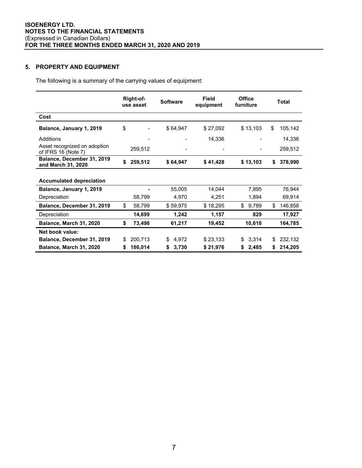# **5. PROPERTY AND EQUIPMENT**

The following is a summary of the carrying values of equipment:

|                                                     |    | Right-of-<br>use asset | <b>Software</b> | Field<br>equipment | <b>Office</b><br>furniture | Total         |
|-----------------------------------------------------|----|------------------------|-----------------|--------------------|----------------------------|---------------|
| Cost                                                |    |                        |                 |                    |                            |               |
| Balance, January 1, 2019                            | \$ |                        | \$64,947        | \$27,092           | \$13,103                   | \$<br>105,142 |
| Additions                                           |    |                        |                 | 14,336             |                            | 14,336        |
| Asset recognized on adoption<br>of IFRS 16 (Note 7) |    | 259,512                |                 |                    |                            | 259,512       |
| Balance, December 31, 2019<br>and March 31, 2020    | \$ | 259,512                | \$64,947        | \$41,428           | \$13,103                   | \$<br>378,990 |
| <b>Accumulated depreciation</b>                     |    |                        |                 |                    |                            |               |
| Balance, January 1, 2019                            |    |                        | 55,005          | 14,044             | 7,895                      | 76,944        |
| Depreciation                                        |    | 58,799                 | 4,970           | 4,251              | 1,894                      | 69,914        |
| Balance, December 31, 2019                          | \$ | 58,799                 | \$59,975        | \$18,295           | \$<br>9,789                | \$<br>146,858 |
| Depreciation                                        |    | 14,699                 | 1,242           | 1,157              | 829                        | 17,927        |
| Balance, March 31, 2020                             | \$ | 73,498                 | 61,217          | 19,452             | 10,618                     | 164,785       |
| Net book value:                                     |    |                        |                 |                    |                            |               |
| Balance, December 31, 2019                          | \$ | 200,713                | 4,972<br>\$     | \$23,133           | 3,314<br>\$                | \$<br>232,132 |
| Balance, March 31, 2020                             | S  | 186,014                | 3,730<br>\$     | \$21,976           | 2,485<br>\$                | \$<br>214,205 |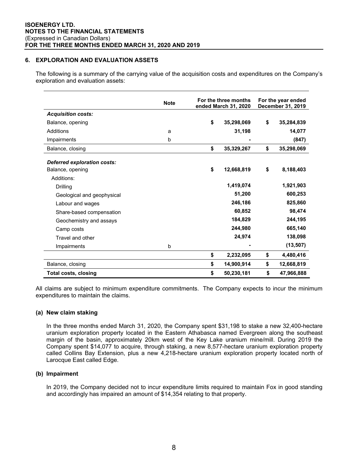## **6. EXPLORATION AND EVALUATION ASSETS**

The following is a summary of the carrying value of the acquisition costs and expenditures on the Company's exploration and evaluation assets:

|                             | <b>Note</b> | For the three months<br>ended March 31, 2020 | For the year ended<br>December 31, 2019 |            |  |
|-----------------------------|-------------|----------------------------------------------|-----------------------------------------|------------|--|
| <b>Acquisition costs:</b>   |             |                                              |                                         |            |  |
| Balance, opening            |             | \$<br>35,298,069                             | \$                                      | 35,284,839 |  |
| <b>Additions</b>            | a           | 31,198                                       |                                         | 14,077     |  |
| Impairments                 | b           |                                              |                                         | (847)      |  |
| Balance, closing            |             | \$<br>35,329,267                             | \$                                      | 35,298,069 |  |
| Deferred exploration costs: |             | \$                                           |                                         |            |  |
| Balance, opening            |             | 12,668,819                                   | \$                                      | 8,188,403  |  |
| Additions:                  |             |                                              |                                         |            |  |
| Drilling                    |             | 1,419,074                                    |                                         | 1,921,903  |  |
| Geological and geophysical  |             | 51,200                                       |                                         | 600,253    |  |
| Labour and wages            |             | 246,186                                      |                                         | 825,860    |  |
| Share-based compensation    |             | 60,852                                       |                                         | 98,474     |  |
| Geochemistry and assays     |             | 184,829                                      |                                         | 244,195    |  |
| Camp costs                  |             | 244,980                                      |                                         | 665,140    |  |
| Travel and other            |             | 24,974                                       |                                         | 138,098    |  |
| Impairments                 | b           |                                              |                                         | (13, 507)  |  |
|                             |             | \$<br>2,232,095                              | \$                                      | 4,480,416  |  |
| Balance, closing            |             | \$<br>14,900,914                             | \$                                      | 12,668,819 |  |
| <b>Total costs, closing</b> |             | \$<br>50,230,181                             | \$                                      | 47,966,888 |  |

All claims are subject to minimum expenditure commitments. The Company expects to incur the minimum expenditures to maintain the claims.

#### **(a) New claim staking**

In the three months ended March 31, 2020, the Company spent \$31,198 to stake a new 32,400-hectare uranium exploration property located in the Eastern Athabasca named Evergreen along the southeast margin of the basin, approximately 20km west of the Key Lake uranium mine/mill. During 2019 the Company spent \$14,077 to acquire, through staking, a new 8,577-hectare uranium exploration property called Collins Bay Extension, plus a new 4,218-hectare uranium exploration property located north of Larocque East called Edge.

#### **(b) Impairment**

In 2019, the Company decided not to incur expenditure limits required to maintain Fox in good standing and accordingly has impaired an amount of \$14,354 relating to that property.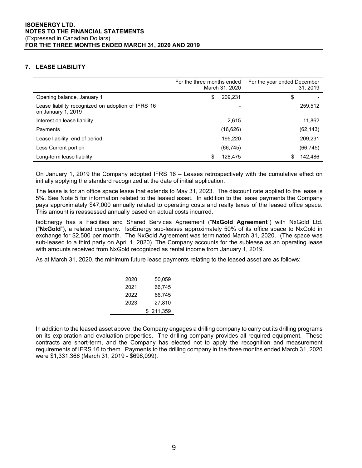## **7. LEASE LIABILITY**

|                                                                         | For the three months ended<br>March 31, 2020 |          | For the year ended December | 31, 2019  |
|-------------------------------------------------------------------------|----------------------------------------------|----------|-----------------------------|-----------|
| Opening balance, January 1                                              | \$                                           | 209,231  | \$                          |           |
| Lease liability recognized on adoption of IFRS 16<br>on January 1, 2019 |                                              |          |                             | 259,512   |
| Interest on lease liability                                             |                                              | 2,615    |                             | 11,862    |
| Payments                                                                |                                              | (16,626) |                             | (62, 143) |
| Lease liability, end of period                                          |                                              | 195,220  |                             | 209,231   |
| Less Current portion                                                    |                                              | (66,745) |                             | (66, 745) |
| Long-term lease liability                                               | \$                                           | 128,475  | S                           | 142.486   |

On January 1, 2019 the Company adopted IFRS 16 – Leases retrospectively with the cumulative effect on initially applying the standard recognized at the date of initial application.

The lease is for an office space lease that extends to May 31, 2023. The discount rate applied to the lease is 5%. See Note 5 for information related to the leased asset. In addition to the lease payments the Company pays approximately \$47,000 annually related to operating costs and realty taxes of the leased office space. This amount is reassessed annually based on actual costs incurred.

IsoEnergy has a Facilities and Shared Services Agreement ("**NxGold Agreement**") with NxGold Ltd. ("**NxGold**"), a related company. IsoEnergy sub-leases approximately 50% of its office space to NxGold in exchange for \$2,500 per month. The NxGold Agreement was terminated March 31, 2020. (The space was sub-leased to a third party on April 1, 2020). The Company accounts for the sublease as an operating lease with amounts received from NxGold recognized as rental income from January 1, 2019.

As at March 31, 2020, the minimum future lease payments relating to the leased asset are as follows:

| 2020 | 50.059    |
|------|-----------|
| 2021 | 66,745    |
| 2022 | 66.745    |
| 2023 | 27,810    |
|      | \$211,359 |

In addition to the leased asset above, the Company engages a drilling company to carry out its drilling programs on its exploration and evaluation properties. The drilling company provides all required equipment. These contracts are short-term, and the Company has elected not to apply the recognition and measurement requirements of IFRS 16 to them. Payments to the drilling company in the three months ended March 31, 2020 were \$1,331,366 (March 31, 2019 - \$696,099).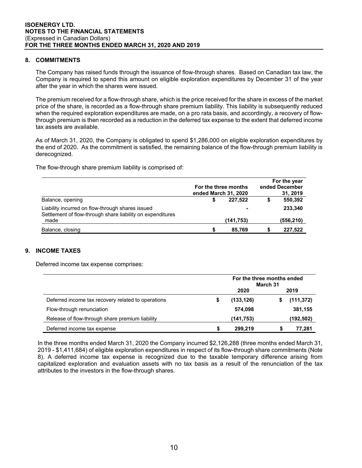## **8. COMMITMENTS**

The Company has raised funds through the issuance of flow-through shares. Based on Canadian tax law, the Company is required to spend this amount on eligible exploration expenditures by December 31 of the year after the year in which the shares were issued.

The premium received for a flow-through share, which is the price received for the share in excess of the market price of the share, is recorded as a flow-through share premium liability. This liability is subsequently reduced when the required exploration expenditures are made, on a pro rata basis, and accordingly, a recovery of flowthrough premium is then recorded as a reduction in the deferred tax expense to the extent that deferred income tax assets are available.

As of March 31, 2020, the Company is obligated to spend \$1,286,000 on eligible exploration expenditures by the end of 2020. As the commitment is satisfied, the remaining balance of the flow-through premium liability is derecognized.

The flow-through share premium liability is comprised of:

|                                                                                                                | ended March 31, 2020 | For the three months | For the year<br>ended December<br>31, 2019 |           |  |
|----------------------------------------------------------------------------------------------------------------|----------------------|----------------------|--------------------------------------------|-----------|--|
| Balance, opening                                                                                               |                      | 227.522              |                                            | 550,392   |  |
| Liability incurred on flow-through shares issued<br>Settlement of flow-through share liability on expenditures |                      |                      |                                            | 233.340   |  |
| made                                                                                                           |                      | (141, 753)           |                                            | (556,210) |  |
| Balance, closing                                                                                               |                      | 85.769               |                                            | 227.522   |  |

## **9. INCOME TAXES**

Deferred income tax expense comprises:

|                                                    |   | For the three months ended<br>March 31 |  |            |  |
|----------------------------------------------------|---|----------------------------------------|--|------------|--|
|                                                    |   | 2020                                   |  | 2019       |  |
| Deferred income tax recovery related to operations | S | (133, 126)                             |  | (111, 372) |  |
| Flow-through renunciation                          |   | 574,098                                |  | 381,155    |  |
| Release of flow-through share premium liability    |   | (141, 753)                             |  | (192, 502) |  |
| Deferred income tax expense                        | S | 299,219                                |  | 77,281     |  |

In the three months ended March 31, 2020 the Company incurred \$2,126,288 (three months ended March 31, 2019 - \$1,411,684) of eligible exploration expenditures in respect of its flow-through share commitments (Note 8). A deferred income tax expense is recognized due to the taxable temporary difference arising from capitalized exploration and evaluation assets with no tax basis as a result of the renunciation of the tax attributes to the investors in the flow-through shares.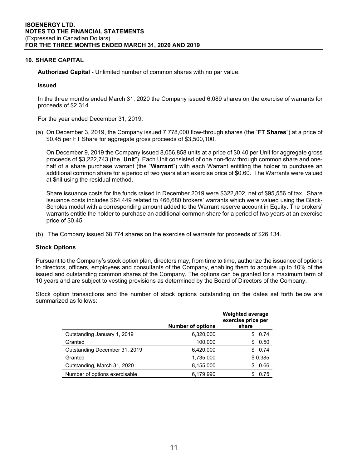## **10. SHARE CAPITAL**

**Authorized Capital** - Unlimited number of common shares with no par value.

#### **Issued**

In the three months ended March 31, 2020 the Company issued 6,089 shares on the exercise of warrants for proceeds of \$2,314.

For the year ended December 31, 2019:

(a) On December 3, 2019, the Company issued 7,778,000 flow-through shares (the "**FT Shares**") at a price of \$0.45 per FT Share for aggregate gross proceeds of \$3,500,100.

On December 9, 2019 the Company issued 8,056,858 units at a price of \$0.40 per Unit for aggregate gross proceeds of \$3,222,743 (the "**Unit**"). Each Unit consisted of one non-flow through common share and onehalf of a share purchase warrant (the "**Warrant**") with each Warrant entitling the holder to purchase an additional common share for a period of two years at an exercise price of \$0.60. The Warrants were valued at \$nil using the residual method.

Share issuance costs for the funds raised in December 2019 were \$322,802, net of \$95,556 of tax. Share issuance costs includes \$64,449 related to 466,680 brokers' warrants which were valued using the Black-Scholes model with a corresponding amount added to the Warrant reserve account in Equity. The brokers' warrants entitle the holder to purchase an additional common share for a period of two years at an exercise price of \$0.45.

(b) The Company issued 68,774 shares on the exercise of warrants for proceeds of \$26,134.

#### **Stock Options**

Pursuant to the Company's stock option plan, directors may, from time to time, authorize the issuance of options to directors, officers, employees and consultants of the Company, enabling them to acquire up to 10% of the issued and outstanding common shares of the Company. The options can be granted for a maximum term of 10 years and are subject to vesting provisions as determined by the Board of Directors of the Company.

Stock option transactions and the number of stock options outstanding on the dates set forth below are summarized as follows:

|                               | <b>Number of options</b> | <b>Weighted average</b><br>exercise price per<br>share |
|-------------------------------|--------------------------|--------------------------------------------------------|
| Outstanding January 1, 2019   | 6,320,000                | 0.74                                                   |
| Granted                       | 100,000                  | 0.50<br>S                                              |
| Outstanding December 31, 2019 | 6,420,000                | 0.74<br>£.                                             |
| Granted                       | 1,735,000                | \$0.385                                                |
| Outstanding, March 31, 2020   | 8,155,000                | 0.66<br>S                                              |
| Number of options exercisable | 6,179,990                | 0.75                                                   |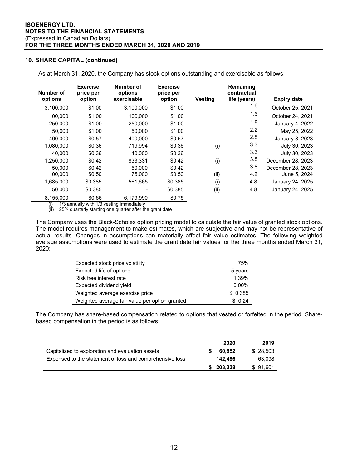## **10. SHARE CAPITAL (continued)**

| Number of<br>options | <b>Exercise</b><br>price per<br>option | Number of<br>options<br>exercisable | <b>Exercise</b><br>price per<br>option | Vestina | Remaining<br>contractual<br>life (years) | <b>Expiry date</b> |
|----------------------|----------------------------------------|-------------------------------------|----------------------------------------|---------|------------------------------------------|--------------------|
|                      |                                        |                                     |                                        |         |                                          |                    |
| 3,100,000            | \$1.00                                 | 3,100,000                           | \$1.00                                 |         | 1.6                                      | October 25, 2021   |
| 100,000              | \$1.00                                 | 100,000                             | \$1.00                                 |         | 1.6                                      | October 24, 2021   |
| 250,000              | \$1.00                                 | 250,000                             | \$1.00                                 |         | 1.8                                      | January 4, 2022    |
| 50.000               | \$1.00                                 | 50,000                              | \$1.00                                 |         | 2.2                                      | May 25, 2022       |
| 400.000              | \$0.57                                 | 400.000                             | \$0.57                                 |         | 2.8                                      | January 8, 2023    |
| 1,080,000            | \$0.36                                 | 719.994                             | \$0.36                                 | (i)     | 3.3                                      | July 30, 2023      |
| 40.000               | \$0.36                                 | 40.000                              | \$0.36                                 |         | 3.3                                      | July 30, 2023      |
| 1,250,000            | \$0.42                                 | 833.331                             | \$0.42                                 | (i)     | 3.8                                      | December 28, 2023  |
| 50.000               | \$0.42                                 | 50.000                              | \$0.42                                 |         | 3.8                                      | December 28, 2023  |
| 100,000              | \$0.50                                 | 75,000                              | \$0.50                                 | (ii)    | 4.2                                      | June 5, 2024       |
| 1,685,000            | \$0.385                                | 561,665                             | \$0.385                                | (i)     | 4.8                                      | January 24, 2025   |
| 50.000               | \$0.385                                |                                     | \$0.385                                | (ii)    | 4.8                                      | January 24, 2025   |
| 8,155,000            | \$0.66                                 | 6,179,990                           | \$0.75                                 |         |                                          |                    |

As at March 31, 2020, the Company has stock options outstanding and exercisable as follows:

(i) 1/3 annually with 1/3 vesting immediately

(ii) 25% quarterly starting one quarter after the grant date

The Company uses the Black-Scholes option pricing model to calculate the fair value of granted stock options. The model requires management to make estimates, which are subjective and may not be representative of actual results. Changes in assumptions can materially affect fair value estimates. The following weighted average assumptions were used to estimate the grant date fair values for the three months ended March 31, 2020:

| Expected stock price volatility                | 75%      |
|------------------------------------------------|----------|
| Expected life of options                       | 5 years  |
| Risk free interest rate                        | 1.39%    |
| Expected dividend yield                        | $0.00\%$ |
| Weighted average exercise price                | \$0.385  |
| Weighted average fair value per option granted | \$0.24   |

The Company has share-based compensation related to options that vested or forfeited in the period. Sharebased compensation in the period is as follows:

|                                                          | 2020    | 2019     |
|----------------------------------------------------------|---------|----------|
| Capitalized to exploration and evaluation assets         | 60.852  | \$28.503 |
| Expensed to the statement of loss and comprehensive loss | 142.486 | 63,098   |
|                                                          | 203.338 | \$91.601 |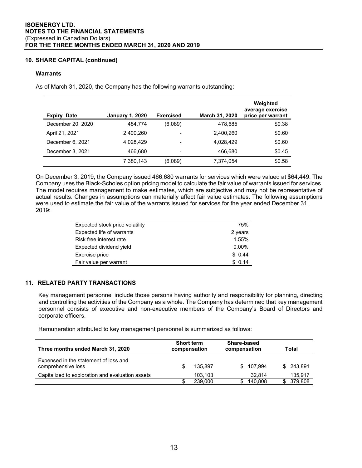## **10. SHARE CAPITAL (continued)**

#### **Warrants**

As of March 31, 2020, the Company has the following warrants outstanding:

| <b>Expiry Date</b> | <b>January 1, 2020</b> | <b>Exercised</b> | March 31, 2020 | Weighted<br>average exercise<br>price per warrant |
|--------------------|------------------------|------------------|----------------|---------------------------------------------------|
| December 20, 2020  | 484.774                | (6,089)          | 478,685        | \$0.38                                            |
| April 21, 2021     | 2,400,260              |                  | 2,400,260      | \$0.60                                            |
| December 6, 2021   | 4.028.429              |                  | 4,028,429      | \$0.60                                            |
| December 3, 2021   | 466.680                | ٠                | 466.680        | \$0.45                                            |
|                    | 7,380,143              | (6,089)          | 7,374,054      | \$0.58                                            |

On December 3, 2019, the Company issued 466,680 warrants for services which were valued at \$64,449. The Company uses the Black-Scholes option pricing model to calculate the fair value of warrants issued for services. The model requires management to make estimates, which are subjective and may not be representative of actual results. Changes in assumptions can materially affect fair value estimates. The following assumptions were used to estimate the fair value of the warrants issued for services for the year ended December 31, 2019:

| Expected stock price volatility | 75%      |
|---------------------------------|----------|
| Expected life of warrants       | 2 years  |
| Risk free interest rate         | 1.55%    |
| Expected dividend yield         | $0.00\%$ |
| Exercise price                  | \$0.44   |
| Fair value per warrant          | \$0.14   |

## **11. RELATED PARTY TRANSACTIONS**

Key management personnel include those persons having authority and responsibility for planning, directing and controlling the activities of the Company as a whole. The Company has determined that key management personnel consists of executive and non-executive members of the Company's Board of Directors and corporate officers.

Remuneration attributed to key management personnel is summarized as follows:

| Three months ended March 31, 2020                           | <b>Short term</b><br>compensation |         | Share-based<br>compensation |         | Total |         |
|-------------------------------------------------------------|-----------------------------------|---------|-----------------------------|---------|-------|---------|
| Expensed in the statement of loss and<br>comprehensive loss |                                   | 135.897 | S.                          | 107.994 | SS.   | 243.891 |
| Capitalized to exploration and evaluation assets            |                                   | 103,103 |                             | 32.814  |       | 135,917 |
|                                                             |                                   | 239,000 |                             | 140.808 |       | 379,808 |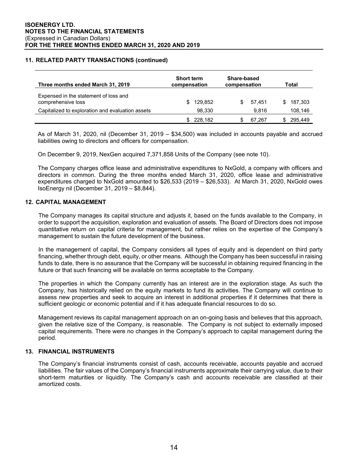## **11. RELATED PARTY TRANSACTIONS (continued)**

| Three months ended March 31, 2019                           | <b>Short term</b><br>compensation | Share-based<br>compensation | Total   |  |  |
|-------------------------------------------------------------|-----------------------------------|-----------------------------|---------|--|--|
| Expensed in the statement of loss and<br>comprehensive loss | 129,852                           | 57.451<br>SS.               | 187,303 |  |  |
| Capitalized to exploration and evaluation assets            | 98,330                            | 9.816                       | 108,146 |  |  |
|                                                             | 228,182                           | 67.267                      | 295.449 |  |  |

As of March 31, 2020, nil (December 31, 2019 – \$34,500) was included in accounts payable and accrued liabilities owing to directors and officers for compensation.

On December 9, 2019, NexGen acquired 7,371,858 Units of the Company (see note 10).

The Company charges office lease and administrative expenditures to NxGold, a company with officers and directors in common. During the three months ended March 31, 2020, office lease and administrative expenditures charged to NxGold amounted to \$26,533 (2019 – \$26,533). At March 31, 2020, NxGold owes IsoEnergy nil (December 31, 2019 – \$8,844).

#### **12. CAPITAL MANAGEMENT**

The Company manages its capital structure and adjusts it, based on the funds available to the Company, in order to support the acquisition, exploration and evaluation of assets. The Board of Directors does not impose quantitative return on capital criteria for management, but rather relies on the expertise of the Company's management to sustain the future development of the business.

In the management of capital, the Company considers all types of equity and is dependent on third party financing, whether through debt, equity, or other means. Although the Company has been successful in raising funds to date, there is no assurance that the Company will be successful in obtaining required financing in the future or that such financing will be available on terms acceptable to the Company.

The properties in which the Company currently has an interest are in the exploration stage. As such the Company, has historically relied on the equity markets to fund its activities. The Company will continue to assess new properties and seek to acquire an interest in additional properties if it determines that there is sufficient geologic or economic potential and if it has adequate financial resources to do so.

Management reviews its capital management approach on an on-going basis and believes that this approach, given the relative size of the Company, is reasonable. The Company is not subject to externally imposed capital requirements. There were no changes in the Company's approach to capital management during the period.

## **13. FINANCIAL INSTRUMENTS**

The Company's financial instruments consist of cash, accounts receivable, accounts payable and accrued liabilities. The fair values of the Company's financial instruments approximate their carrying value, due to their short-term maturities or liquidity. The Company's cash and accounts receivable are classified at their amortized costs.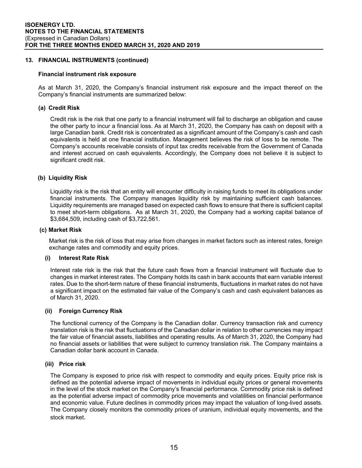## **13. FINANCIAL INSTRUMENTS (continued)**

#### **Financial instrument risk exposure**

As at March 31, 2020, the Company's financial instrument risk exposure and the impact thereof on the Company's financial instruments are summarized below:

## **(a) Credit Risk**

Credit risk is the risk that one party to a financial instrument will fail to discharge an obligation and cause the other party to incur a financial loss. As at March 31, 2020, the Company has cash on deposit with a large Canadian bank. Credit risk is concentrated as a significant amount of the Company's cash and cash equivalents is held at one financial institution. Management believes the risk of loss to be remote. The Company's accounts receivable consists of input tax credits receivable from the Government of Canada and interest accrued on cash equivalents. Accordingly, the Company does not believe it is subject to significant credit risk.

#### **(b) Liquidity Risk**

Liquidity risk is the risk that an entity will encounter difficulty in raising funds to meet its obligations under financial instruments. The Company manages liquidity risk by maintaining sufficient cash balances. Liquidity requirements are managed based on expected cash flows to ensure that there is sufficient capital to meet short-term obligations. As at March 31, 2020, the Company had a working capital balance of \$3,684,509, including cash of \$3,722,561.

#### **(c) Market Risk**

Market risk is the risk of loss that may arise from changes in market factors such as interest rates, foreign exchange rates and commodity and equity prices.

#### **(i) Interest Rate Risk**

Interest rate risk is the risk that the future cash flows from a financial instrument will fluctuate due to changes in market interest rates. The Company holds its cash in bank accounts that earn variable interest rates. Due to the short-term nature of these financial instruments, fluctuations in market rates do not have a significant impact on the estimated fair value of the Company's cash and cash equivalent balances as of March 31, 2020.

#### **(ii) Foreign Currency Risk**

The functional currency of the Company is the Canadian dollar. Currency transaction risk and currency translation risk is the risk that fluctuations of the Canadian dollar in relation to other currencies may impact the fair value of financial assets, liabilities and operating results. As of March 31, 2020, the Company had no financial assets or liabilities that were subject to currency translation risk. The Company maintains a Canadian dollar bank account in Canada.

#### **(iii) Price risk**

The Company is exposed to price risk with respect to commodity and equity prices. Equity price risk is defined as the potential adverse impact of movements in individual equity prices or general movements in the level of the stock market on the Company's financial performance. Commodity price risk is defined as the potential adverse impact of commodity price movements and volatilities on financial performance and economic value. Future declines in commodity prices may impact the valuation of long-lived assets. The Company closely monitors the commodity prices of uranium, individual equity movements, and the stock market.